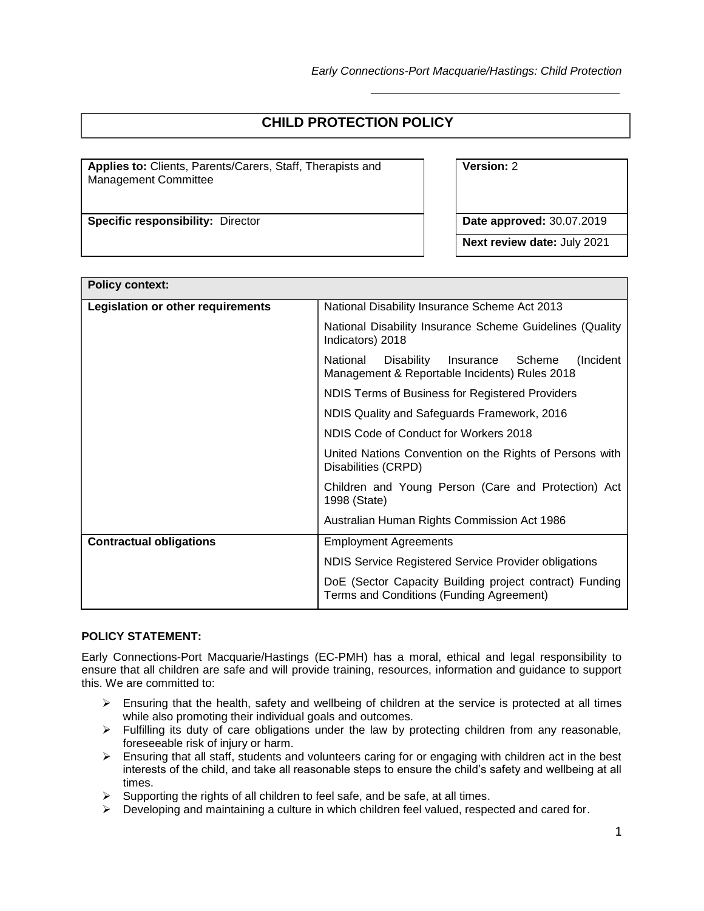# **CHILD PROTECTION POLICY**

**Applies to:** Clients, Parents/Carers, Staff, Therapists and Management Committee

**Specific responsibility:** Director **Date approved:** 30.07.2019

**Version:** 2

**Next review date:** July 2021

| <b>Policy context:</b>            |                                                                                                                                                                                                      |  |  |  |
|-----------------------------------|------------------------------------------------------------------------------------------------------------------------------------------------------------------------------------------------------|--|--|--|
| Legislation or other requirements | National Disability Insurance Scheme Act 2013                                                                                                                                                        |  |  |  |
|                                   | National Disability Insurance Scheme Guidelines (Quality<br>Indicators) 2018                                                                                                                         |  |  |  |
|                                   | Disability<br>Insurance Scheme<br>(Incident)<br>National<br>Management & Reportable Incidents) Rules 2018                                                                                            |  |  |  |
|                                   | NDIS Terms of Business for Registered Providers                                                                                                                                                      |  |  |  |
|                                   | NDIS Quality and Safeguards Framework, 2016                                                                                                                                                          |  |  |  |
|                                   | NDIS Code of Conduct for Workers 2018                                                                                                                                                                |  |  |  |
|                                   | United Nations Convention on the Rights of Persons with<br>Disabilities (CRPD)<br>Children and Young Person (Care and Protection) Act<br>1998 (State)<br>Australian Human Rights Commission Act 1986 |  |  |  |
|                                   |                                                                                                                                                                                                      |  |  |  |
|                                   |                                                                                                                                                                                                      |  |  |  |
| <b>Contractual obligations</b>    | <b>Employment Agreements</b><br>NDIS Service Registered Service Provider obligations                                                                                                                 |  |  |  |
|                                   |                                                                                                                                                                                                      |  |  |  |
|                                   | DoE (Sector Capacity Building project contract) Funding<br>Terms and Conditions (Funding Agreement)                                                                                                  |  |  |  |

### **POLICY STATEMENT:**

Early Connections-Port Macquarie/Hastings (EC-PMH) has a moral, ethical and legal responsibility to ensure that all children are safe and will provide training, resources, information and guidance to support this. We are committed to:

- $\triangleright$  Ensuring that the health, safety and wellbeing of children at the service is protected at all times while also promoting their individual goals and outcomes.
- $\triangleright$  Fulfilling its duty of care obligations under the law by protecting children from any reasonable, foreseeable risk of injury or harm.
- $\triangleright$  Ensuring that all staff, students and volunteers caring for or engaging with children act in the best interests of the child, and take all reasonable steps to ensure the child's safety and wellbeing at all times.
- $\triangleright$  Supporting the rights of all children to feel safe, and be safe, at all times.
- Developing and maintaining a culture in which children feel valued, respected and cared for.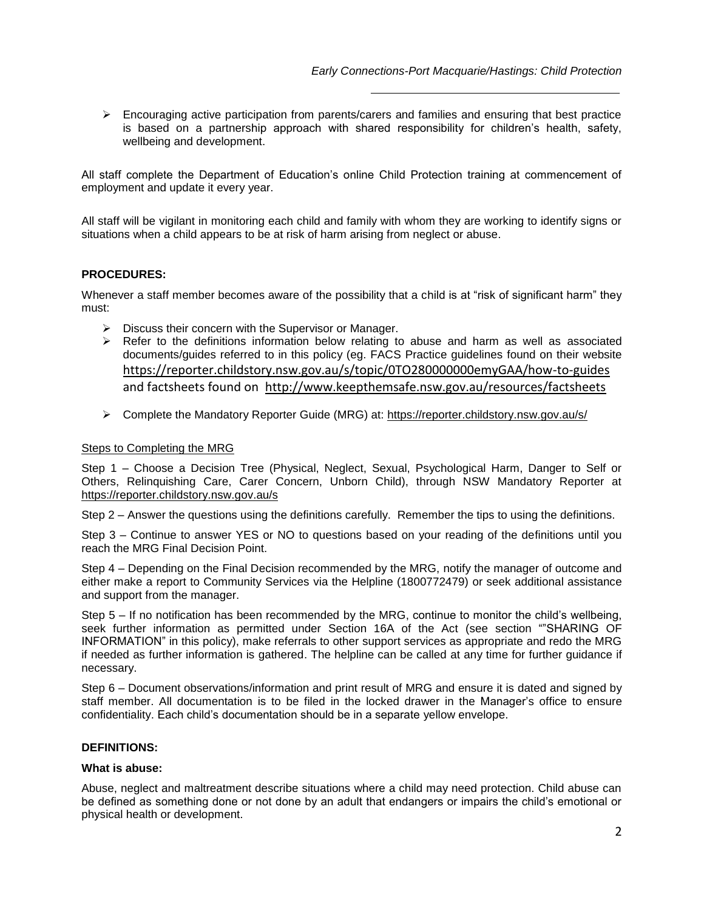$\triangleright$  Encouraging active participation from parents/carers and families and ensuring that best practice is based on a partnership approach with shared responsibility for children's health, safety, wellbeing and development.

All staff complete the Department of Education's online Child Protection training at commencement of employment and update it every year.

All staff will be vigilant in monitoring each child and family with whom they are working to identify signs or situations when a child appears to be at risk of harm arising from neglect or abuse.

### **PROCEDURES:**

Whenever a staff member becomes aware of the possibility that a child is at "risk of significant harm" they must:

- $\triangleright$  Discuss their concern with the Supervisor or Manager.
- $\triangleright$  Refer to the definitions information below relating to abuse and harm as well as associated documents/guides referred to in this policy (eg. FACS Practice guidelines found on their website <https://reporter.childstory.nsw.gov.au/s/topic/0TO280000000emyGAA/how-to-guides> and factsheets found on <http://www.keepthemsafe.nsw.gov.au/resources/factsheets>
- Complete the Mandatory Reporter Guide (MRG) at:<https://reporter.childstory.nsw.gov.au/s/>

### Steps to Completing the MRG

Step 1 – Choose a Decision Tree (Physical, Neglect, Sexual, Psychological Harm, Danger to Self or Others, Relinquishing Care, Carer Concern, Unborn Child), through NSW Mandatory Reporter at <https://reporter.childstory.nsw.gov.au/s>

Step 2 – Answer the questions using the definitions carefully. Remember the tips to using the definitions.

Step 3 – Continue to answer YES or NO to questions based on your reading of the definitions until you reach the MRG Final Decision Point.

Step 4 – Depending on the Final Decision recommended by the MRG, notify the manager of outcome and either make a report to Community Services via the Helpline (1800772479) or seek additional assistance and support from the manager.

Step 5 – If no notification has been recommended by the MRG, continue to monitor the child's wellbeing, seek further information as permitted under Section 16A of the Act (see section ""SHARING OF INFORMATION" in this policy), make referrals to other support services as appropriate and redo the MRG if needed as further information is gathered. The helpline can be called at any time for further guidance if necessary.

Step 6 – Document observations/information and print result of MRG and ensure it is dated and signed by staff member. All documentation is to be filed in the locked drawer in the Manager's office to ensure confidentiality. Each child's documentation should be in a separate yellow envelope.

### **DEFINITIONS:**

### **What is abuse:**

Abuse, neglect and maltreatment describe situations where a child may need protection. Child abuse can be defined as something done or not done by an adult that endangers or impairs the child's emotional or physical health or development.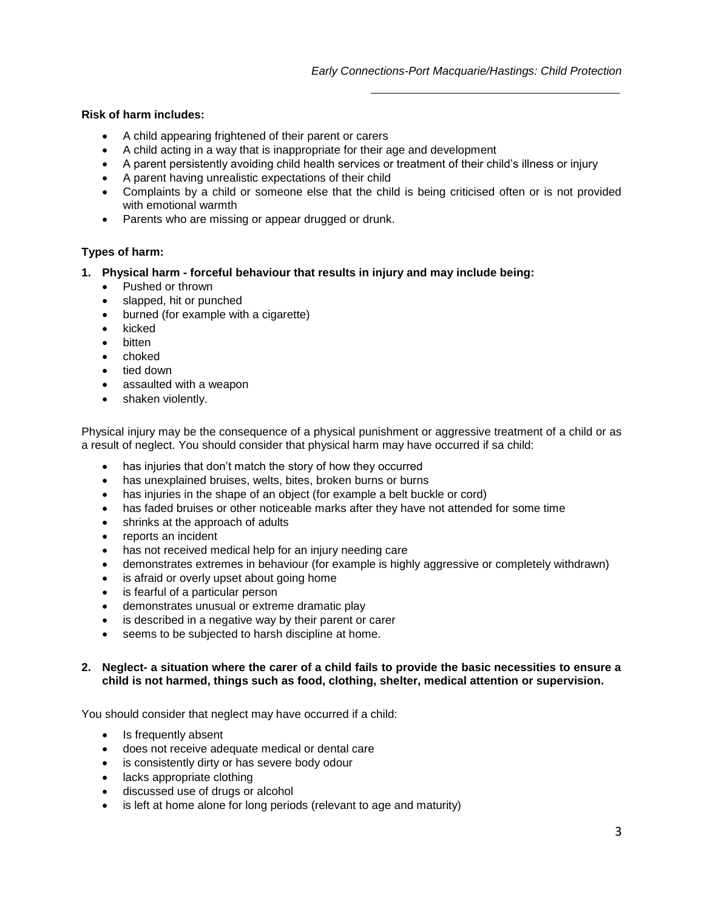### **Risk of harm includes:**

- A child appearing frightened of their parent or carers
- A child acting in a way that is inappropriate for their age and development
- A parent persistently avoiding child health services or treatment of their child's illness or injury
- A parent having unrealistic expectations of their child
- Complaints by a child or someone else that the child is being criticised often or is not provided with emotional warmth
- Parents who are missing or appear drugged or drunk.

### **Types of harm:**

- **1. Physical harm forceful behaviour that results in injury and may include being:** 
	- Pushed or thrown
	- slapped, hit or punched
	- burned (for example with a cigarette)
	- kicked
	- bitten
	- choked
	- tied down
	- assaulted with a weapon
	- shaken violently.

Physical injury may be the consequence of a physical punishment or aggressive treatment of a child or as a result of neglect. You should consider that physical harm may have occurred if sa child:

- has injuries that don't match the story of how they occurred
- has unexplained bruises, welts, bites, broken burns or burns
- has injuries in the shape of an object (for example a belt buckle or cord)
- has faded bruises or other noticeable marks after they have not attended for some time
- shrinks at the approach of adults
- reports an incident
- has not received medical help for an injury needing care
- demonstrates extremes in behaviour (for example is highly aggressive or completely withdrawn)
- is afraid or overly upset about going home
- is fearful of a particular person
- demonstrates unusual or extreme dramatic play
- is described in a negative way by their parent or carer
- seems to be subjected to harsh discipline at home.

### **2. Neglect- a situation where the carer of a child fails to provide the basic necessities to ensure a child is not harmed, things such as food, clothing, shelter, medical attention or supervision.**

You should consider that neglect may have occurred if a child:

- Is frequently absent
- does not receive adequate medical or dental care
- is consistently dirty or has severe body odour
- lacks appropriate clothing
- discussed use of drugs or alcohol
- is left at home alone for long periods (relevant to age and maturity)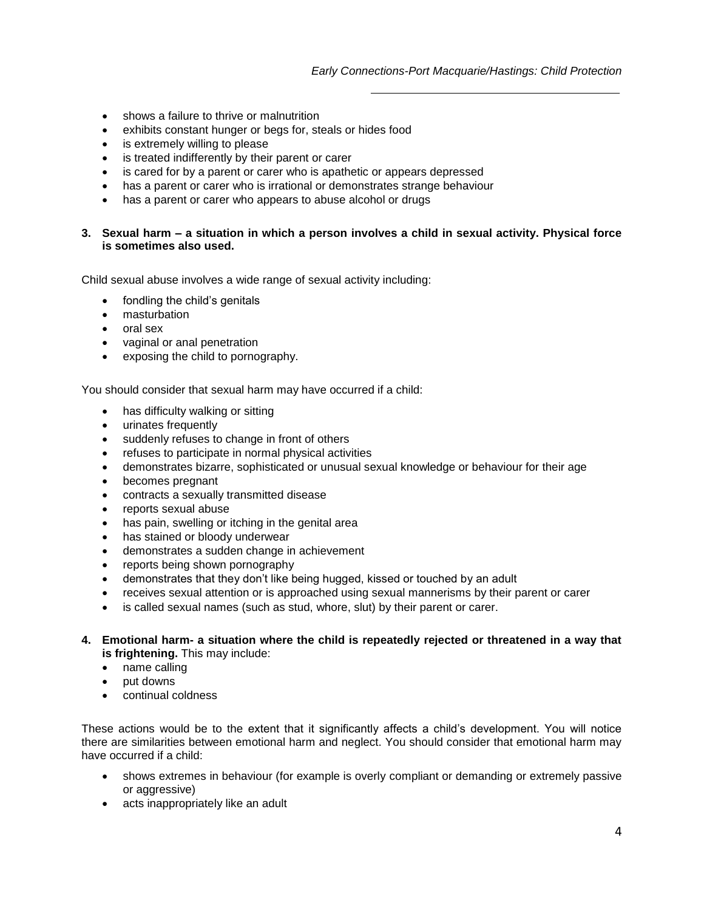- shows a failure to thrive or malnutrition
- exhibits constant hunger or begs for, steals or hides food
- is extremely willing to please
- is treated indifferently by their parent or carer
- is cared for by a parent or carer who is apathetic or appears depressed
- has a parent or carer who is irrational or demonstrates strange behaviour
- has a parent or carer who appears to abuse alcohol or drugs

### **3. Sexual harm – a situation in which a person involves a child in sexual activity. Physical force is sometimes also used.**

Child sexual abuse involves a wide range of sexual activity including:

- fondling the child's genitals
- masturbation
- oral sex
- vaginal or anal penetration
- exposing the child to pornography.

You should consider that sexual harm may have occurred if a child:

- has difficulty walking or sitting
- urinates frequently
- suddenly refuses to change in front of others
- refuses to participate in normal physical activities
- demonstrates bizarre, sophisticated or unusual sexual knowledge or behaviour for their age
- becomes pregnant
- contracts a sexually transmitted disease
- reports sexual abuse
- has pain, swelling or itching in the genital area
- has stained or bloody underwear
- demonstrates a sudden change in achievement
- reports being shown pornography
- demonstrates that they don't like being hugged, kissed or touched by an adult
- receives sexual attention or is approached using sexual mannerisms by their parent or carer
- is called sexual names (such as stud, whore, slut) by their parent or carer.
- **4. Emotional harm- a situation where the child is repeatedly rejected or threatened in a way that is frightening.** This may include:
	- name calling
	- put downs
	- continual coldness

These actions would be to the extent that it significantly affects a child's development. You will notice there are similarities between emotional harm and neglect. You should consider that emotional harm may have occurred if a child:

- shows extremes in behaviour (for example is overly compliant or demanding or extremely passive or aggressive)
- acts inappropriately like an adult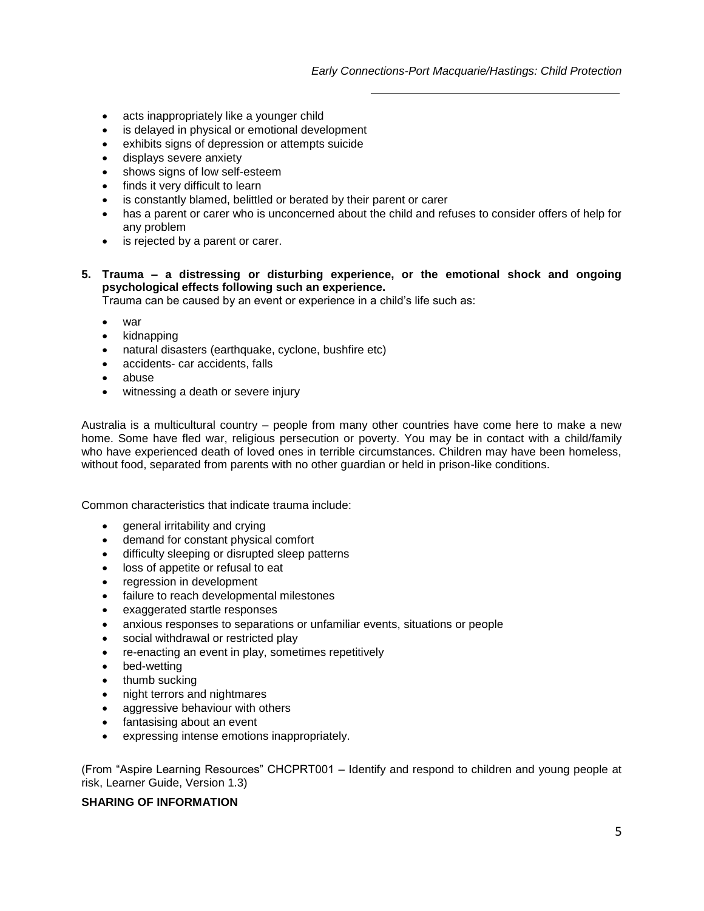- acts inappropriately like a younger child
- is delayed in physical or emotional development
- exhibits signs of depression or attempts suicide
- displays severe anxiety
- shows signs of low self-esteem
- finds it very difficult to learn
- is constantly blamed, belittled or berated by their parent or carer
- has a parent or carer who is unconcerned about the child and refuses to consider offers of help for any problem
- is rejected by a parent or carer.
- **5. Trauma – a distressing or disturbing experience, or the emotional shock and ongoing psychological effects following such an experience.**

Trauma can be caused by an event or experience in a child's life such as:

- war
- kidnapping
- natural disasters (earthquake, cyclone, bushfire etc)
- accidents- car accidents, falls
- abuse
- witnessing a death or severe injury

Australia is a multicultural country – people from many other countries have come here to make a new home. Some have fled war, religious persecution or poverty. You may be in contact with a child/family who have experienced death of loved ones in terrible circumstances. Children may have been homeless, without food, separated from parents with no other guardian or held in prison-like conditions.

Common characteristics that indicate trauma include:

- general irritability and crying
- demand for constant physical comfort
- difficulty sleeping or disrupted sleep patterns
- loss of appetite or refusal to eat
- regression in development
- failure to reach developmental milestones
- exaggerated startle responses
- anxious responses to separations or unfamiliar events, situations or people
- social withdrawal or restricted play
- re-enacting an event in play, sometimes repetitively
- bed-wetting
- thumb sucking
- night terrors and nightmares
- aggressive behaviour with others
- fantasising about an event
- expressing intense emotions inappropriately.

(From "Aspire Learning Resources" CHCPRT001 – Identify and respond to children and young people at risk, Learner Guide, Version 1.3)

### **SHARING OF INFORMATION**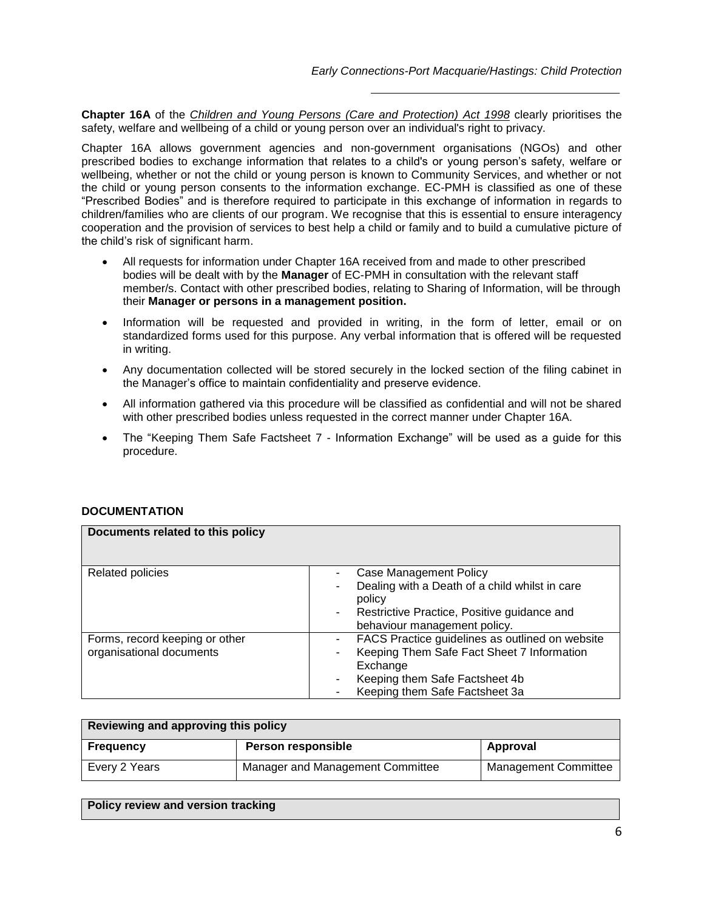**Chapter 16A** of the *[Children and Young Persons \(Care and Protection\) Act 1998](http://www.legislation.nsw.gov.au/viewtop/inforce/act+13+2009+cd+0+N/?autoquery=%28Content%3D%28%28%22the%20Children%20Legislation%20Amendment%20%28Wood%20Inquiry%20Recommendations%29%20Act%202009%22%29%29%29%20AND%20%28%28Type%3D%22act%22%20AND%20Repealed%3D%22N%22%29%20OR%20%28Type%3D%22subordleg%22%20AND%20Repealed%3D%22N%22%29%29&dq=Document%20Types%3D%22Acts,%20Regs%22,%20Exact%20Phrase%3D%22the%20Children%20Legislation%20Amendment%20%28Wood%20Inquiry%20Recommendations%29%20Act%202009%22,%20Search%20In%3D%22Text%22&fullquery=%28%28%28%22the%20Children%20Legislation%20Amendment%20%28Wood%20Inquiry%20Recommendations%29%20Act%202009%22%29%29%29)* clearly prioritises the safety, welfare and wellbeing of a child or young person over an individual's right to privacy.

Chapter 16A allows government agencies and non-government organisations (NGOs) and other prescribed bodies to exchange information that relates to a child's or young person's safety, welfare or wellbeing, whether or not the child or young person is known to Community Services, and whether or not the child or young person consents to the information exchange. EC-PMH is classified as one of these "Prescribed Bodies" and is therefore required to participate in this exchange of information in regards to children/families who are clients of our program. We recognise that this is essential to ensure interagency cooperation and the provision of services to best help a child or family and to build a cumulative picture of the child's risk of significant harm.

- All requests for information under Chapter 16A received from and made to other prescribed bodies will be dealt with by the **Manager** of EC-PMH in consultation with the relevant staff member/s. Contact with other prescribed bodies, relating to Sharing of Information, will be through their **Manager or persons in a management position.**
- Information will be requested and provided in writing, in the form of letter, email or on standardized forms used for this purpose. Any verbal information that is offered will be requested in writing.
- Any documentation collected will be stored securely in the locked section of the filing cabinet in the Manager's office to maintain confidentiality and preserve evidence.
- All information gathered via this procedure will be classified as confidential and will not be shared with other prescribed bodies unless requested in the correct manner under Chapter 16A.
- The "Keeping Them Safe Factsheet 7 Information Exchange" will be used as a guide for this procedure.

### **DOCUMENTATION**

| Documents related to this policy |                                                               |
|----------------------------------|---------------------------------------------------------------|
| <b>Related policies</b>          | Case Management Policy<br>$\overline{\phantom{a}}$            |
|                                  | Dealing with a Death of a child whilst in care<br>policy      |
|                                  | Restrictive Practice, Positive guidance and<br>$\blacksquare$ |
|                                  | behaviour management policy.                                  |
| Forms, record keeping or other   | FACS Practice guidelines as outlined on website               |
| organisational documents         | Keeping Them Safe Fact Sheet 7 Information                    |
|                                  | Exchange                                                      |
|                                  | Keeping them Safe Factsheet 4b                                |
|                                  | Keeping them Safe Factsheet 3a                                |

| Reviewing and approving this policy |                                  |                             |  |  |
|-------------------------------------|----------------------------------|-----------------------------|--|--|
| Frequency                           | <b>Person responsible</b>        | Approval                    |  |  |
| Every 2 Years                       | Manager and Management Committee | <b>Management Committee</b> |  |  |

| Policy review and version tracking |  |
|------------------------------------|--|
|                                    |  |